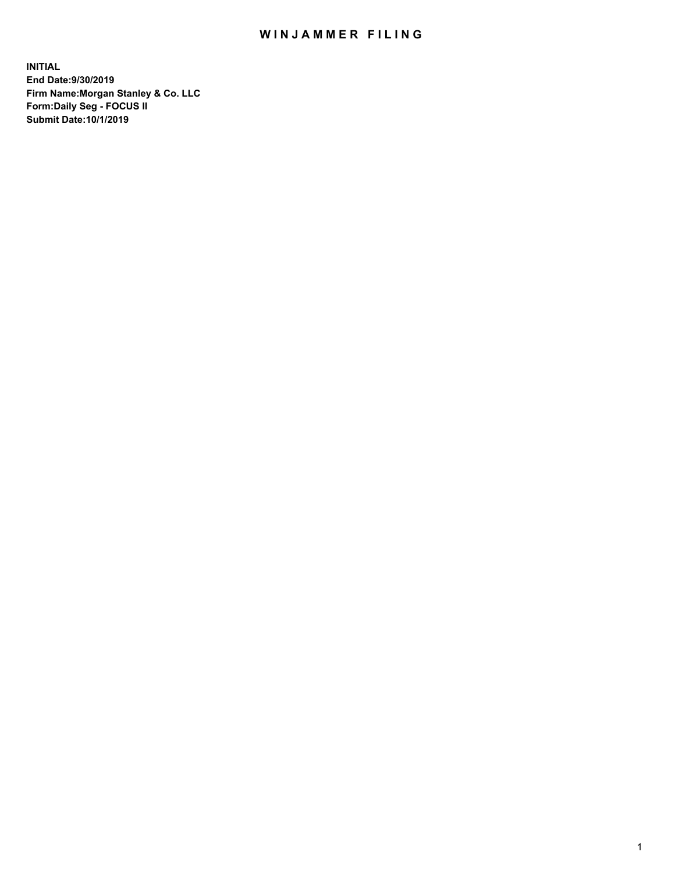## WIN JAMMER FILING

**INITIAL End Date:9/30/2019 Firm Name:Morgan Stanley & Co. LLC Form:Daily Seg - FOCUS II Submit Date:10/1/2019**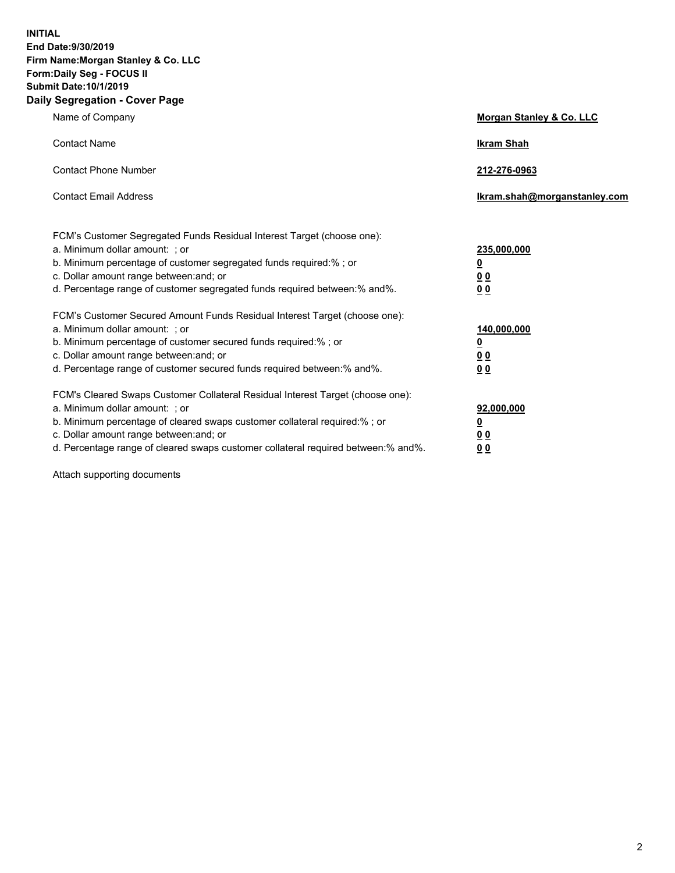**INITIAL End Date:9/30/2019 Firm Name:Morgan Stanley & Co. LLC Form:Daily Seg - FOCUS II Submit Date:10/1/2019 Daily Segregation - Cover Page**

| Name of Company                                                                                                                                                                                                                                                                                                                | Morgan Stanley & Co. LLC                               |
|--------------------------------------------------------------------------------------------------------------------------------------------------------------------------------------------------------------------------------------------------------------------------------------------------------------------------------|--------------------------------------------------------|
| <b>Contact Name</b>                                                                                                                                                                                                                                                                                                            | <b>Ikram Shah</b>                                      |
| <b>Contact Phone Number</b>                                                                                                                                                                                                                                                                                                    | 212-276-0963                                           |
| <b>Contact Email Address</b>                                                                                                                                                                                                                                                                                                   | lkram.shah@morganstanley.com                           |
| FCM's Customer Segregated Funds Residual Interest Target (choose one):<br>a. Minimum dollar amount: ; or<br>b. Minimum percentage of customer segregated funds required:% ; or<br>c. Dollar amount range between: and; or<br>d. Percentage range of customer segregated funds required between:% and%.                         | 235,000,000<br><u>0</u><br><u>0 0</u><br>0 Q           |
| FCM's Customer Secured Amount Funds Residual Interest Target (choose one):<br>a. Minimum dollar amount: ; or<br>b. Minimum percentage of customer secured funds required:%; or<br>c. Dollar amount range between: and; or<br>d. Percentage range of customer secured funds required between:% and%.                            | 140,000,000<br><u>0</u><br><u>00</u><br>0 <sub>0</sub> |
| FCM's Cleared Swaps Customer Collateral Residual Interest Target (choose one):<br>a. Minimum dollar amount: ; or<br>b. Minimum percentage of cleared swaps customer collateral required:% ; or<br>c. Dollar amount range between: and; or<br>d. Percentage range of cleared swaps customer collateral required between:% and%. | 92,000,000<br><u>0</u><br><u>00</u><br>0 <sup>0</sup>  |

Attach supporting documents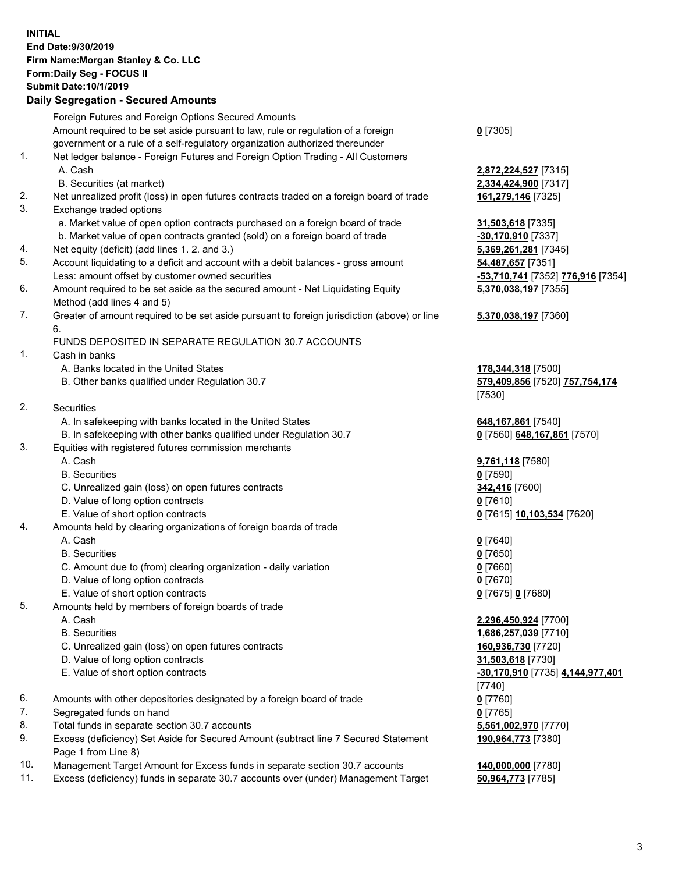## **INITIAL End Date:9/30/2019 Firm Name:Morgan Stanley & Co. LLC Form:Daily Seg - FOCUS II Submit Date:10/1/2019**

## **Daily Segregation - Secured Amounts**

|          | Foreign Futures and Foreign Options Secured Amounts                                                                  |                                   |
|----------|----------------------------------------------------------------------------------------------------------------------|-----------------------------------|
|          | Amount required to be set aside pursuant to law, rule or regulation of a foreign                                     | $0$ [7305]                        |
|          | government or a rule of a self-regulatory organization authorized thereunder                                         |                                   |
| 1.       | Net ledger balance - Foreign Futures and Foreign Option Trading - All Customers                                      |                                   |
|          | A. Cash                                                                                                              | 2,872,224,527 [7315]              |
|          | B. Securities (at market)                                                                                            | 2,334,424,900 [7317]              |
| 2.<br>3. | Net unrealized profit (loss) in open futures contracts traded on a foreign board of trade<br>Exchange traded options | 161,279,146 [7325]                |
|          | a. Market value of open option contracts purchased on a foreign board of trade                                       |                                   |
|          | b. Market value of open contracts granted (sold) on a foreign board of trade                                         | 31,503,618 [7335]                 |
|          |                                                                                                                      | -30,170,910 [7337]                |
| 4.       | Net equity (deficit) (add lines 1.2. and 3.)                                                                         | 5,369,261,281 [7345]              |
| 5.       | Account liquidating to a deficit and account with a debit balances - gross amount                                    | 54,487,657 [7351]                 |
|          | Less: amount offset by customer owned securities                                                                     | -53,710,741 [7352] 776,916 [7354] |
| 6.       | Amount required to be set aside as the secured amount - Net Liquidating Equity<br>Method (add lines 4 and 5)         | 5,370,038,197 [7355]              |
| 7.       | Greater of amount required to be set aside pursuant to foreign jurisdiction (above) or line                          | 5,370,038,197 [7360]              |
|          | 6.                                                                                                                   |                                   |
|          | FUNDS DEPOSITED IN SEPARATE REGULATION 30.7 ACCOUNTS                                                                 |                                   |
| 1.       | Cash in banks                                                                                                        |                                   |
|          | A. Banks located in the United States                                                                                | 178,344,318 [7500]                |
|          | B. Other banks qualified under Regulation 30.7                                                                       | 579,409,856 [7520] 757,754,174    |
|          |                                                                                                                      | [7530]                            |
| 2.       | Securities                                                                                                           |                                   |
|          | A. In safekeeping with banks located in the United States                                                            | 648, 167, 861 [7540]              |
|          | B. In safekeeping with other banks qualified under Regulation 30.7                                                   | 0 [7560] 648,167,861 [7570]       |
| 3.       | Equities with registered futures commission merchants                                                                |                                   |
|          | A. Cash                                                                                                              | 9,761,118 [7580]                  |
|          | <b>B.</b> Securities                                                                                                 | $0$ [7590]                        |
|          | C. Unrealized gain (loss) on open futures contracts                                                                  | 342,416 [7600]                    |
|          | D. Value of long option contracts                                                                                    | $0$ [7610]                        |
|          | E. Value of short option contracts                                                                                   | 0 [7615] 10,103,534 [7620]        |
| 4.       | Amounts held by clearing organizations of foreign boards of trade                                                    |                                   |
|          | A. Cash                                                                                                              | $0$ [7640]                        |
|          | <b>B.</b> Securities                                                                                                 | $0$ [7650]                        |
|          | C. Amount due to (from) clearing organization - daily variation                                                      | $0$ [7660]                        |
|          | D. Value of long option contracts                                                                                    | $0$ [7670]                        |
|          | E. Value of short option contracts                                                                                   | 0 [7675] 0 [7680]                 |
| 5.       | Amounts held by members of foreign boards of trade                                                                   |                                   |
|          | A. Cash                                                                                                              | 2,296,450,924 [7700]              |
|          | <b>B.</b> Securities                                                                                                 | 1,686,257,039 [7710]              |
|          | C. Unrealized gain (loss) on open futures contracts                                                                  | 160,936,730 [7720]                |
|          | D. Value of long option contracts                                                                                    | 31,503,618 [7730]                 |
|          | E. Value of short option contracts                                                                                   | -30,170,910 [7735] 4,144,977,401  |
|          |                                                                                                                      | $[7740]$                          |
| 6.       | Amounts with other depositories designated by a foreign board of trade                                               | $0$ [7760]                        |
| 7.       | Segregated funds on hand                                                                                             | $0$ [7765]                        |
| 8.       | Total funds in separate section 30.7 accounts                                                                        | 5,561,002,970 [7770]              |
| 9.       | Excess (deficiency) Set Aside for Secured Amount (subtract line 7 Secured Statement                                  | 190,964,773 [7380]                |
|          | Page 1 from Line 8)                                                                                                  |                                   |
| 10.      | Management Target Amount for Excess funds in senarate section 30.7 accounts                                          | 140.000.000.177801                |

10. Management Target Amount for Excess funds in separate section 30.7 accounts **140,000,000** [7780]<br>11. Excess (deficiency) funds in separate 30.7 accounts over (under) Management Target 50,964,773 [7785] 11. Excess (deficiency) funds in separate 30.7 accounts over (under) Management Target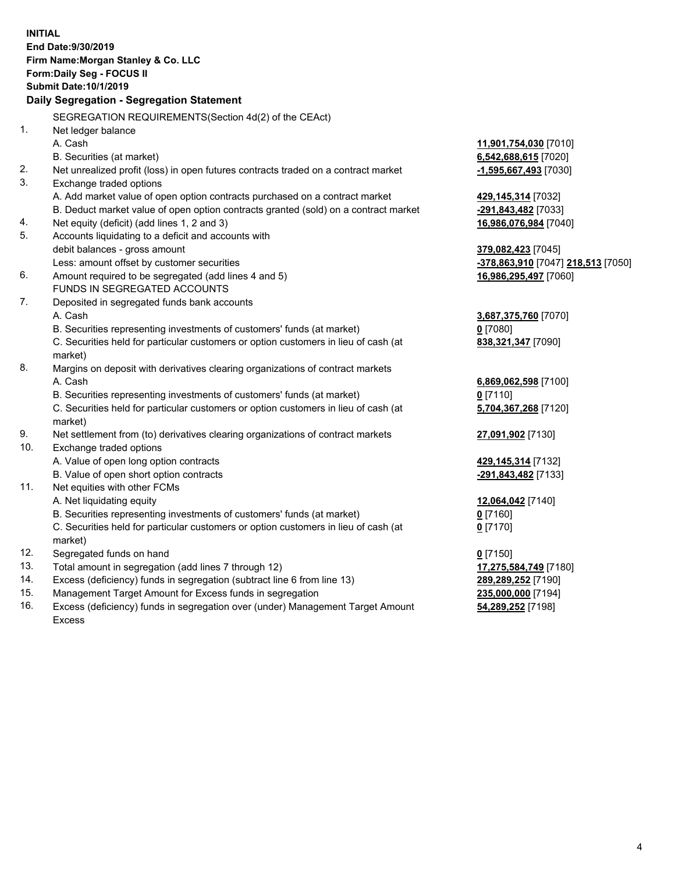**INITIAL End Date:9/30/2019 Firm Name:Morgan Stanley & Co. LLC Form:Daily Seg - FOCUS II Submit Date:10/1/2019 Daily Segregation - Segregation Statement** SEGREGATION REQUIREMENTS(Section 4d(2) of the CEAct) 1. Net ledger balance A. Cash **11,901,754,030** [7010] B. Securities (at market) **6,542,688,615** [7020] 2. Net unrealized profit (loss) in open futures contracts traded on a contract market **-1,595,667,493** [7030] 3. Exchange traded options A. Add market value of open option contracts purchased on a contract market **429,145,314** [7032] B. Deduct market value of open option contracts granted (sold) on a contract market **-291,843,482** [7033] 4. Net equity (deficit) (add lines 1, 2 and 3) **16,986,076,984** [7040] 5. Accounts liquidating to a deficit and accounts with debit balances - gross amount **379,082,423** [7045] Less: amount offset by customer securities **-378,863,910** [7047] **218,513** [7050] 6. Amount required to be segregated (add lines 4 and 5) **16,986,295,497** [7060] FUNDS IN SEGREGATED ACCOUNTS 7. Deposited in segregated funds bank accounts A. Cash **3,687,375,760** [7070] B. Securities representing investments of customers' funds (at market) **0** [7080] C. Securities held for particular customers or option customers in lieu of cash (at market) **838,321,347** [7090] 8. Margins on deposit with derivatives clearing organizations of contract markets A. Cash **6,869,062,598** [7100] B. Securities representing investments of customers' funds (at market) **0** [7110] C. Securities held for particular customers or option customers in lieu of cash (at market) **5,704,367,268** [7120] 9. Net settlement from (to) derivatives clearing organizations of contract markets **27,091,902** [7130] 10. Exchange traded options A. Value of open long option contracts **429,145,314** [7132] B. Value of open short option contracts **-291,843,482** [7133] 11. Net equities with other FCMs A. Net liquidating equity **12,064,042** [7140] B. Securities representing investments of customers' funds (at market) **0** [7160] C. Securities held for particular customers or option customers in lieu of cash (at market) **0** [7170] 12. Segregated funds on hand **0** [7150] 13. Total amount in segregation (add lines 7 through 12) **17,275,584,749** [7180] 14. Excess (deficiency) funds in segregation (subtract line 6 from line 13) **289,289,252** [7190] 15. Management Target Amount for Excess funds in segregation **235,000,000** [7194] **54,289,252** [7198]

16. Excess (deficiency) funds in segregation over (under) Management Target Amount Excess